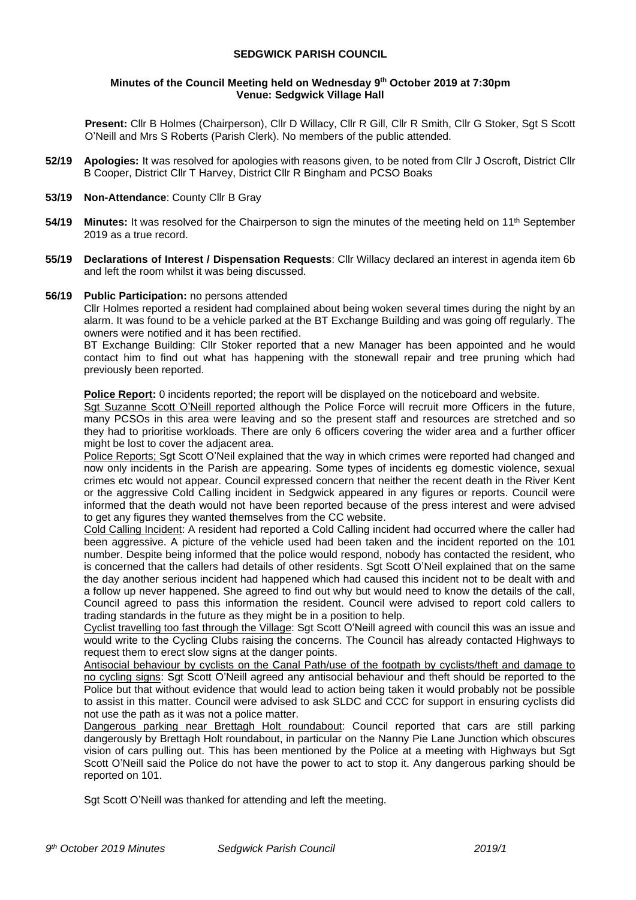### **SEDGWICK PARISH COUNCIL**

#### **Minutes of the Council Meeting held on Wednesday 9 th October 2019 at 7:30pm Venue: Sedgwick Village Hall**

**Present:** Cllr B Holmes (Chairperson), Cllr D Willacy, Cllr R Gill, Cllr R Smith, Cllr G Stoker, Sgt S Scott O'Neill and Mrs S Roberts (Parish Clerk). No members of the public attended.

- **52/19 Apologies:** It was resolved for apologies with reasons given, to be noted from Cllr J Oscroft, District Cllr B Cooper, District Cllr T Harvey, District Cllr R Bingham and PCSO Boaks
- **53/19 Non-Attendance**: County Cllr B Gray
- **54/19 Minutes:** It was resolved for the Chairperson to sign the minutes of the meeting held on 11<sup>th</sup> September 2019 as a true record.
- **55/19 Declarations of Interest / Dispensation Requests**: Cllr Willacy declared an interest in agenda item 6b and left the room whilst it was being discussed.

#### **56/19 Public Participation:** no persons attended

Cllr Holmes reported a resident had complained about being woken several times during the night by an alarm. It was found to be a vehicle parked at the BT Exchange Building and was going off regularly. The owners were notified and it has been rectified.

BT Exchange Building: Cllr Stoker reported that a new Manager has been appointed and he would contact him to find out what has happening with the stonewall repair and tree pruning which had previously been reported.

**Police Report:** 0 incidents reported; the report will be displayed on the noticeboard and website.

Sgt Suzanne Scott O'Neill reported although the Police Force will recruit more Officers in the future, many PCSOs in this area were leaving and so the present staff and resources are stretched and so they had to prioritise workloads. There are only 6 officers covering the wider area and a further officer might be lost to cover the adjacent area.

Police Reports; Sgt Scott O'Neil explained that the way in which crimes were reported had changed and now only incidents in the Parish are appearing. Some types of incidents eg domestic violence, sexual crimes etc would not appear. Council expressed concern that neither the recent death in the River Kent or the aggressive Cold Calling incident in Sedgwick appeared in any figures or reports. Council were informed that the death would not have been reported because of the press interest and were advised to get any figures they wanted themselves from the CC website.

Cold Calling Incident: A resident had reported a Cold Calling incident had occurred where the caller had been aggressive. A picture of the vehicle used had been taken and the incident reported on the 101 number. Despite being informed that the police would respond, nobody has contacted the resident, who is concerned that the callers had details of other residents. Sgt Scott O'Neil explained that on the same the day another serious incident had happened which had caused this incident not to be dealt with and a follow up never happened. She agreed to find out why but would need to know the details of the call, Council agreed to pass this information the resident. Council were advised to report cold callers to trading standards in the future as they might be in a position to help.

Cyclist travelling too fast through the Village: Sgt Scott O'Neill agreed with council this was an issue and would write to the Cycling Clubs raising the concerns. The Council has already contacted Highways to request them to erect slow signs at the danger points.

Antisocial behaviour by cyclists on the Canal Path/use of the footpath by cyclists/theft and damage to no cycling signs: Sgt Scott O'Neill agreed any antisocial behaviour and theft should be reported to the Police but that without evidence that would lead to action being taken it would probably not be possible to assist in this matter. Council were advised to ask SLDC and CCC for support in ensuring cyclists did not use the path as it was not a police matter.

Dangerous parking near Brettagh Holt roundabout: Council reported that cars are still parking dangerously by Brettagh Holt roundabout, in particular on the Nanny Pie Lane Junction which obscures vision of cars pulling out. This has been mentioned by the Police at a meeting with Highways but Sgt Scott O'Neill said the Police do not have the power to act to stop it. Any dangerous parking should be reported on 101.

Sgt Scott O'Neill was thanked for attending and left the meeting.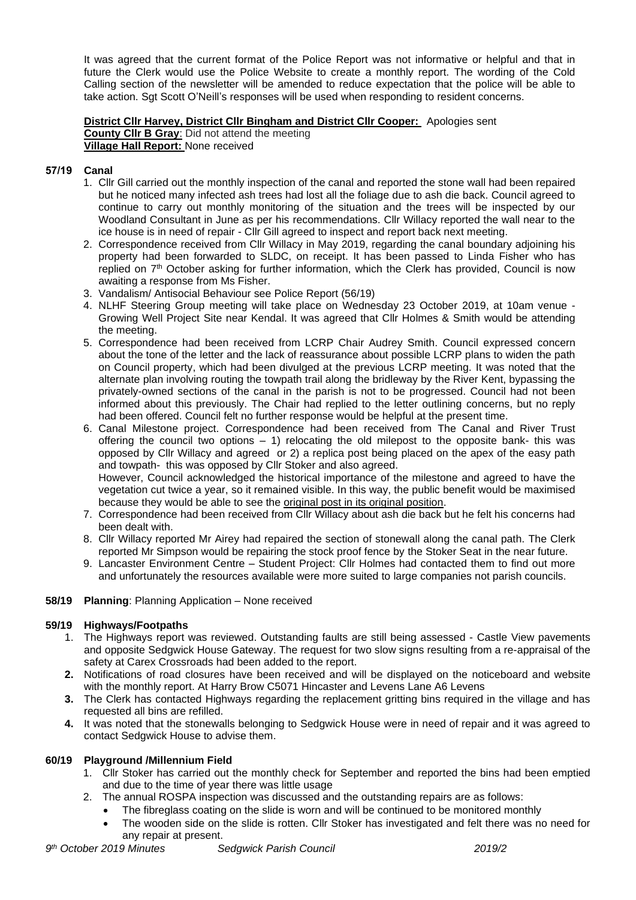It was agreed that the current format of the Police Report was not informative or helpful and that in future the Clerk would use the Police Website to create a monthly report. The wording of the Cold Calling section of the newsletter will be amended to reduce expectation that the police will be able to take action. Sgt Scott O'Neill's responses will be used when responding to resident concerns.

### **District Cllr Harvey, District Cllr Bingham and District Cllr Cooper:** Apologies sent **County Cllr B Gray**: Did not attend the meeting **Village Hall Report:** None received

# **57/19 Canal**

- 1. Cllr Gill carried out the monthly inspection of the canal and reported the stone wall had been repaired but he noticed many infected ash trees had lost all the foliage due to ash die back. Council agreed to continue to carry out monthly monitoring of the situation and the trees will be inspected by our Woodland Consultant in June as per his recommendations. Cllr Willacy reported the wall near to the ice house is in need of repair - Cllr Gill agreed to inspect and report back next meeting.
- 2. Correspondence received from Cllr Willacy in May 2019, regarding the canal boundary adjoining his property had been forwarded to SLDC, on receipt. It has been passed to Linda Fisher who has replied on 7<sup>th</sup> October asking for further information, which the Clerk has provided, Council is now awaiting a response from Ms Fisher.
- 3. Vandalism/ Antisocial Behaviour see Police Report (56/19)
- 4. NLHF Steering Group meeting will take place on Wednesday 23 October 2019, at 10am venue Growing Well Project Site near Kendal. It was agreed that Cllr Holmes & Smith would be attending the meeting.
- 5. Correspondence had been received from LCRP Chair Audrey Smith. Council expressed concern about the tone of the letter and the lack of reassurance about possible LCRP plans to widen the path on Council property, which had been divulged at the previous LCRP meeting. It was noted that the alternate plan involving routing the towpath trail along the bridleway by the River Kent, bypassing the privately-owned sections of the canal in the parish is not to be progressed. Council had not been informed about this previously. The Chair had replied to the letter outlining concerns, but no reply had been offered. Council felt no further response would be helpful at the present time.
- 6. Canal Milestone project. Correspondence had been received from The Canal and River Trust offering the council two options  $-1$ ) relocating the old milepost to the opposite bank- this was opposed by Cllr Willacy and agreed or 2) a replica post being placed on the apex of the easy path and towpath- this was opposed by Cllr Stoker and also agreed. However, Council acknowledged the historical importance of the milestone and agreed to have the

vegetation cut twice a year, so it remained visible. In this way, the public benefit would be maximised because they would be able to see the original post in its original position.

- 7. Correspondence had been received from Cllr Willacy about ash die back but he felt his concerns had been dealt with.
- 8. Cllr Willacy reported Mr Airey had repaired the section of stonewall along the canal path. The Clerk reported Mr Simpson would be repairing the stock proof fence by the Stoker Seat in the near future.
- 9. Lancaster Environment Centre Student Project: Cllr Holmes had contacted them to find out more and unfortunately the resources available were more suited to large companies not parish councils.

# **58/19 Planning**: Planning Application – None received

# **59/19 Highways/Footpaths**

- 1. The Highways report was reviewed. Outstanding faults are still being assessed Castle View pavements and opposite Sedgwick House Gateway. The request for two slow signs resulting from a re-appraisal of the safety at Carex Crossroads had been added to the report.
- **2.** Notifications of road closures have been received and will be displayed on the noticeboard and website with the monthly report. At Harry Brow C5071 Hincaster and Levens Lane A6 Levens
- **3.** The Clerk has contacted Highways regarding the replacement gritting bins required in the village and has requested all bins are refilled.
- **4.** It was noted that the stonewalls belonging to Sedgwick House were in need of repair and it was agreed to contact Sedgwick House to advise them.

# **60/19 Playground /Millennium Field**

- 1. Cllr Stoker has carried out the monthly check for September and reported the bins had been emptied and due to the time of year there was little usage
- 2. The annual ROSPA inspection was discussed and the outstanding repairs are as follows:
	- The fibreglass coating on the slide is worn and will be continued to be monitored monthly
	- The wooden side on the slide is rotten. Cllr Stoker has investigated and felt there was no need for any repair at present.